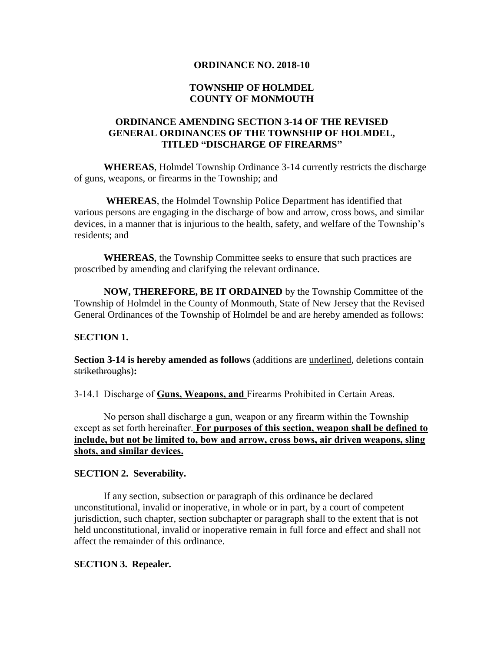### **ORDINANCE NO. 2018-10**

# **TOWNSHIP OF HOLMDEL COUNTY OF MONMOUTH**

# **ORDINANCE AMENDING SECTION 3-14 OF THE REVISED GENERAL ORDINANCES OF THE TOWNSHIP OF HOLMDEL, TITLED "DISCHARGE OF FIREARMS"**

**WHEREAS**, Holmdel Township Ordinance 3-14 currently restricts the discharge of guns, weapons, or firearms in the Township; and

**WHEREAS**, the Holmdel Township Police Department has identified that various persons are engaging in the discharge of bow and arrow, cross bows, and similar devices, in a manner that is injurious to the health, safety, and welfare of the Township's residents; and

**WHEREAS**, the Township Committee seeks to ensure that such practices are proscribed by amending and clarifying the relevant ordinance.

**NOW, THEREFORE, BE IT ORDAINED** by the Township Committee of the Township of Holmdel in the County of Monmouth, State of New Jersey that the Revised General Ordinances of the Township of Holmdel be and are hereby amended as follows:

# **SECTION 1.**

**Section 3-14 is hereby amended as follows** (additions are underlined, deletions contain strikethroughs)**:**

3-14.1 Discharge of **Guns, Weapons, and** Firearms Prohibited in Certain Areas.

No person shall discharge a gun, weapon or any firearm within the Township except as set forth hereinafter. **For purposes of this section, weapon shall be defined to include, but not be limited to, bow and arrow, cross bows, air driven weapons, sling shots, and similar devices.**

#### **SECTION 2. Severability.**

If any section, subsection or paragraph of this ordinance be declared unconstitutional, invalid or inoperative, in whole or in part, by a court of competent jurisdiction, such chapter, section subchapter or paragraph shall to the extent that is not held unconstitutional, invalid or inoperative remain in full force and effect and shall not affect the remainder of this ordinance.

# **SECTION 3. Repealer.**